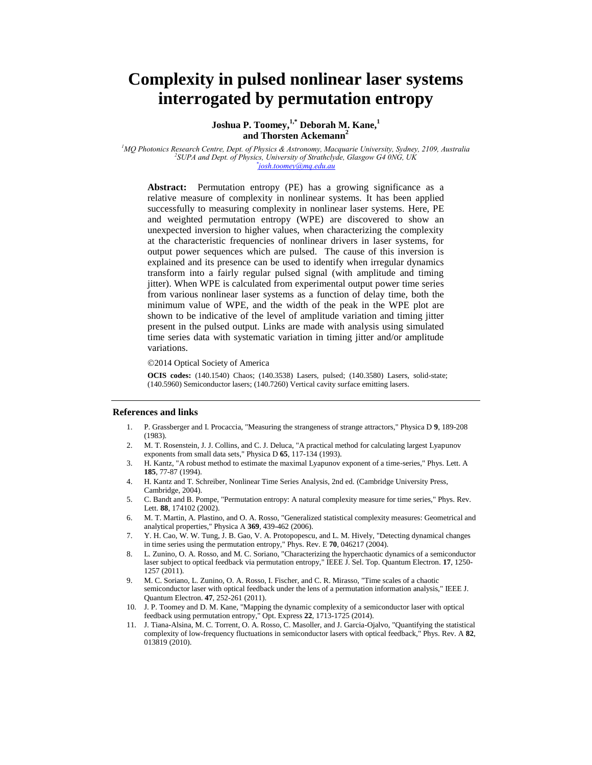# **Complexity in pulsed nonlinear laser systems interrogated by permutation entropy**

**Joshua P. Toomey, 1,\* Deborah M. Kane, 1 and Thorsten Ackemann 2**

*<sup>1</sup>MQ Photonics Research Centre, Dept. of Physics & Astronomy, Macquarie University, Sydney, 2109, Australia 2 SUPA and Dept. of Physics, University of Strathclyde, Glasgow G4 0NG, UK \* josh.toomey@mq.edu.au*

**Abstract:** Permutation entropy (PE) has a growing significance as a relative measure of complexity in nonlinear systems. It has been applied successfully to measuring complexity in nonlinear laser systems. Here, PE and weighted permutation entropy (WPE) are discovered to show an unexpected inversion to higher values, when characterizing the complexity at the characteristic frequencies of nonlinear drivers in laser systems, for output power sequences which are pulsed. The cause of this inversion is explained and its presence can be used to identify when irregular dynamics transform into a fairly regular pulsed signal (with amplitude and timing jitter). When WPE is calculated from experimental output power time series from various nonlinear laser systems as a function of delay time, both the minimum value of WPE, and the width of the peak in the WPE plot are shown to be indicative of the level of amplitude variation and timing jitter present in the pulsed output. Links are made with analysis using simulated time series data with systematic variation in timing jitter and/or amplitude variations.

2014 Optical Society of America

**OCIS codes:** (140.1540) Chaos; (140.3538) Lasers, pulsed; (140.3580) Lasers, solid-state; (140.5960) Semiconductor lasers; (140.7260) Vertical cavity surface emitting lasers.

#### **References and links**

- 1. P. Grassberger and I. Procaccia, "Measuring the strangeness of strange attractors," Physica D **9**, 189-208 (1983).
- 2. M. T. Rosenstein, J. J. Collins, and C. J. Deluca, "A practical method for calculating largest Lyapunov exponents from small data sets," Physica D **65**, 117-134 (1993).
- 3. H. Kantz, "A robust method to estimate the maximal Lyapunov exponent of a time-series," Phys. Lett. A **185**, 77-87 (1994).
- 4. H. Kantz and T. Schreiber, Nonlinear Time Series Analysis, 2nd ed. (Cambridge University Press, Cambridge, 2004).
- 5. C. Bandt and B. Pompe, "Permutation entropy: A natural complexity measure for time series," Phys. Rev. Lett. **88**, 174102 (2002).
- 6. M. T. Martin, A. Plastino, and O. A. Rosso, "Generalized statistical complexity measures: Geometrical and analytical properties," Physica A **369**, 439-462 (2006).
- 7. Y. H. Cao, W. W. Tung, J. B. Gao, V. A. Protopopescu, and L. M. Hively, "Detecting dynamical changes in time series using the permutation entropy," Phys. Rev. E **70**, 046217 (2004).
- 8. L. Zunino, O. A. Rosso, and M. C. Soriano, "Characterizing the hyperchaotic dynamics of a semiconductor laser subject to optical feedback via permutation entropy," IEEE J. Sel. Top. Quantum Electron. **17**, 1250- 1257 (2011).
- 9. M. C. Soriano, L. Zunino, O. A. Rosso, I. Fischer, and C. R. Mirasso, "Time scales of a chaotic semiconductor laser with optical feedback under the lens of a permutation information analysis," IEEE J. Quantum Electron. **47**, 252-261 (2011).
- 10. J. P. Toomey and D. M. Kane, "Mapping the dynamic complexity of a semiconductor laser with optical feedback using permutation entropy," Opt. Express **22**, 1713-1725 (2014).
- 11. J. Tiana-Alsina, M. C. Torrent, O. A. Rosso, C. Masoller, and J. Garcia-Ojalvo, "Quantifying the statistical complexity of low-frequency fluctuations in semiconductor lasers with optical feedback," Phys. Rev. A **82**, 013819 (2010).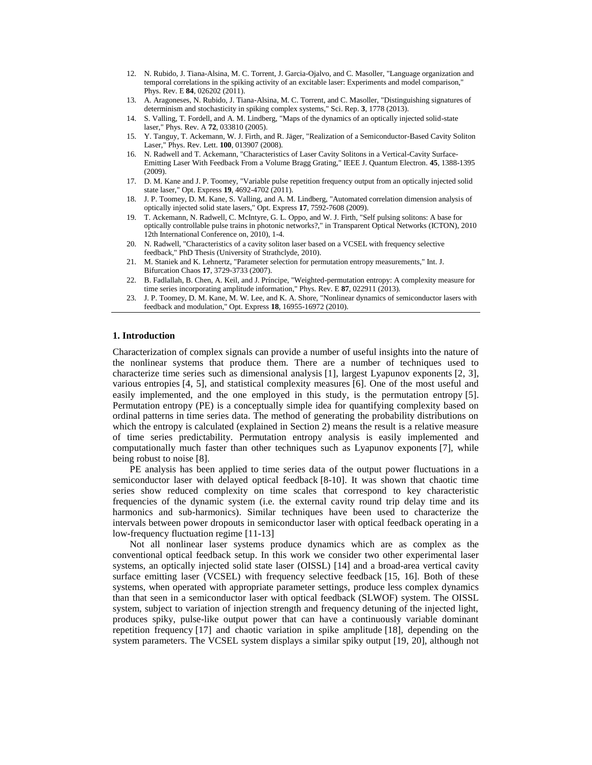- 12. N. Rubido, J. Tiana-Alsina, M. C. Torrent, J. Garcia-Ojalvo, and C. Masoller, "Language organization and temporal correlations in the spiking activity of an excitable laser: Experiments and model comparison," Phys. Rev. E **84**, 026202 (2011).
- 13. A. Aragoneses, N. Rubido, J. Tiana-Alsina, M. C. Torrent, and C. Masoller, "Distinguishing signatures of determinism and stochasticity in spiking complex systems," Sci. Rep. **3**, 1778 (2013).
- 14. S. Valling, T. Fordell, and A. M. Lindberg, "Maps of the dynamics of an optically injected solid-state laser," Phys. Rev. A **72**, 033810 (2005).
- 15. Y. Tanguy, T. Ackemann, W. J. Firth, and R. Jäger, "Realization of a Semiconductor-Based Cavity Soliton Laser," Phys. Rev. Lett. **100**, 013907 (2008).
- 16. N. Radwell and T. Ackemann, "Characteristics of Laser Cavity Solitons in a Vertical-Cavity Surface-Emitting Laser With Feedback From a Volume Bragg Grating," IEEE J. Quantum Electron. **45**, 1388-1395 (2009).
- 17. D. M. Kane and J. P. Toomey, "Variable pulse repetition frequency output from an optically injected solid state laser," Opt. Express **19**, 4692-4702 (2011).
- 18. J. P. Toomey, D. M. Kane, S. Valling, and A. M. Lindberg, "Automated correlation dimension analysis of optically injected solid state lasers," Opt. Express **17**, 7592-7608 (2009).
- 19. T. Ackemann, N. Radwell, C. McIntyre, G. L. Oppo, and W. J. Firth, "Self pulsing solitons: A base for optically controllable pulse trains in photonic networks?," in Transparent Optical Networks (ICTON), 2010 12th International Conference on, 2010), 1-4.
- 20. N. Radwell, "Characteristics of a cavity soliton laser based on a VCSEL with frequency selective feedback," PhD Thesis (University of Strathclyde, 2010).
- 21. M. Staniek and K. Lehnertz, "Parameter selection for permutation entropy measurements," Int. J. Bifurcation Chaos **17**, 3729-3733 (2007).
- 22. B. Fadlallah, B. Chen, A. Keil, and J. Príncipe, "Weighted-permutation entropy: A complexity measure for time series incorporating amplitude information," Phys. Rev. E **87**, 022911 (2013).
- 23. J. P. Toomey, D. M. Kane, M. W. Lee, and K. A. Shore, "Nonlinear dynamics of semiconductor lasers with feedback and modulation," Opt. Express **18**, 16955-16972 (2010).

# **1. Introduction**

Characterization of complex signals can provide a number of useful insights into the nature of the nonlinear systems that produce them. There are a number of techniques used to characterize time series such as dimensional analysis [\[1\]](#page-13-0), largest Lyapunov exponents [\[2,](#page-13-1) [3\]](#page-13-2), various entropies [\[4,](#page-13-3) [5\]](#page-13-4), and statistical complexity measures [\[6\]](#page-13-5). One of the most useful and easily implemented, and the one employed in this study, is the permutation entropy [\[5\]](#page-13-4). Permutation entropy (PE) is a conceptually simple idea for quantifying complexity based on ordinal patterns in time series data. The method of generating the probability distributions on which the entropy is calculated (explained in Section 2) means the result is a relative measure of time series predictability. Permutation entropy analysis is easily implemented and computationally much faster than other techniques such as Lyapunov exponents [\[7\]](#page-13-6), while being robust to noise [\[8\]](#page-13-7).

PE analysis has been applied to time series data of the output power fluctuations in a semiconductor laser with delayed optical feedback [\[8-10\]](#page-13-7). It was shown that chaotic time series show reduced complexity on time scales that correspond to key characteristic frequencies of the dynamic system (i.e. the external cavity round trip delay time and its harmonics and sub-harmonics). Similar techniques have been used to characterize the intervals between power dropouts in semiconductor laser with optical feedback operating in a low-frequency fluctuation regime [\[11-13\]](#page-13-8)

Not all nonlinear laser systems produce dynamics which are as complex as the conventional optical feedback setup. In this work we consider two other experimental laser systems, an optically injected solid state laser (OISSL) [\[14\]](#page-13-9) and a broad-area vertical cavity surface emitting laser (VCSEL) with frequency selective feedback [\[15,](#page-13-10) [16\]](#page-13-11). Both of these systems, when operated with appropriate parameter settings, produce less complex dynamics than that seen in a semiconductor laser with optical feedback (SLWOF) system. The OISSL system, subject to variation of injection strength and frequency detuning of the injected light, produces spiky, pulse-like output power that can have a continuously variable dominant repetition frequency [\[17\]](#page-14-0) and chaotic variation in spike amplitude [\[18\]](#page-14-1), depending on the system parameters. The VCSEL system displays a similar spiky output [\[19,](#page-14-2) [20\]](#page-14-3), although not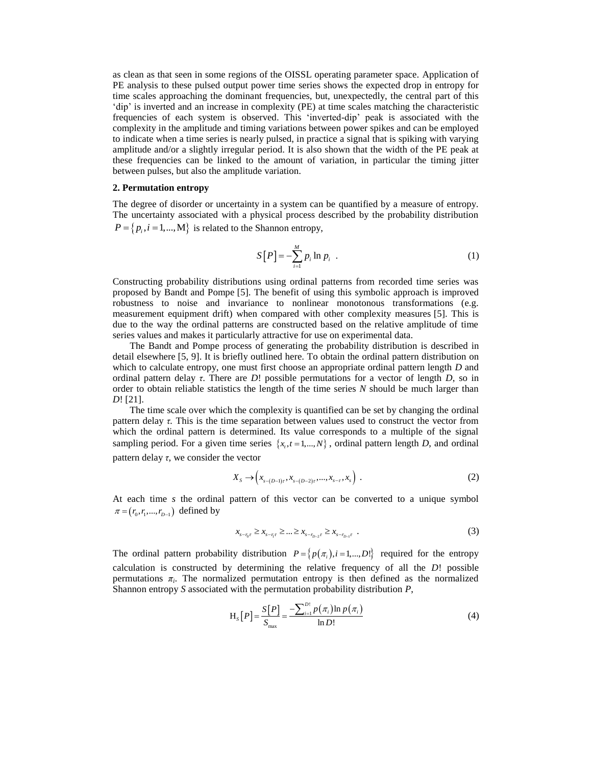as clean as that seen in some regions of the OISSL operating parameter space. Application of PE analysis to these pulsed output power time series shows the expected drop in entropy for time scales approaching the dominant frequencies, but, unexpectedly, the central part of this 'dip' is inverted and an increase in complexity (PE) at time scales matching the characteristic frequencies of each system is observed. This 'inverted-dip' peak is associated with the complexity in the amplitude and timing variations between power spikes and can be employed to indicate when a time series is nearly pulsed, in practice a signal that is spiking with varying amplitude and/or a slightly irregular period. It is also shown that the width of the PE peak at these frequencies can be linked to the amount of variation, in particular the timing jitter between pulses, but also the amplitude variation.

#### **2. Permutation entropy**

The degree of disorder or uncertainty in a system can be quantified by a measure of entropy. The uncertainty associated with a physical process described by the probability distribution  $P = \{p_i, i = 1, ..., M\}$  is related to the Shannon entropy,

$$
S[P] = -\sum_{i=1}^{M} p_i \ln p_i \tag{1}
$$

Constructing probability distributions using ordinal patterns from recorded time series was proposed by Bandt and Pompe [\[5\]](#page-13-4). The benefit of using this symbolic approach is improved robustness to noise and invariance to nonlinear monotonous transformations (e.g. measurement equipment drift) when compared with other complexity measures [\[5\]](#page-13-4). This is due to the way the ordinal patterns are constructed based on the relative amplitude of time series values and makes it particularly attractive for use on experimental data.

The Bandt and Pompe process of generating the probability distribution is described in detail elsewhere [\[5,](#page-13-4) [9\]](#page-13-12). It is briefly outlined here. To obtain the ordinal pattern distribution on which to calculate entropy, one must first choose an appropriate ordinal pattern length *D* and ordinal pattern delay *τ*. There are *D*! possible permutations for a vector of length *D*, so in order to obtain reliable statistics the length of the time series *N* should be much larger than *D*! [\[21\]](#page-14-4).

The time scale over which the complexity is quantified can be set by changing the ordinal pattern delay *τ.* This is the time separation between values used to construct the vector from which the ordinal pattern is determined. Its value corresponds to a multiple of the signal sampling period. For a given time series  $\{x_t, t = 1, ..., N\}$ , ordinal pattern length *D*, and ordinal pattern delay *τ*, we consider the vector

$$
X_{s} \to (x_{s-(D-1)\tau}, x_{s-(D-2)\tau}, ..., x_{s-\tau}, x_{s})
$$
 (2)

At each time *s* the ordinal pattern of this vector can be converted to a unique symbol  $\pi = (r_0, r_1, ..., r_{D-1})$  defined by

$$
x_{s-n_{\tilde{t}}} \ge x_{s-n_{\tilde{t}}} \ge \dots \ge x_{s-n_{D-2}\tilde{t}} \ge x_{s-n_{D-1}\tilde{t}} \tag{3}
$$

The ordinal pattern probability distribution  $P = \{p(\pi_i), i = 1, ..., D!\}$  required for the entropy calculation is constructed by determining the relative frequency of all the *D*! possible permutations *π<sup>i</sup>* . The normalized permutation entropy is then defined as the normalized Shannon entropy *S* associated with the permutation probability distribution *P*,

$$
H_{S}[P] = \frac{S[P]}{S_{max}} = \frac{-\sum_{i=1}^{D!} p(\pi_{i}) \ln p(\pi_{i})}{\ln D!}
$$
 (4)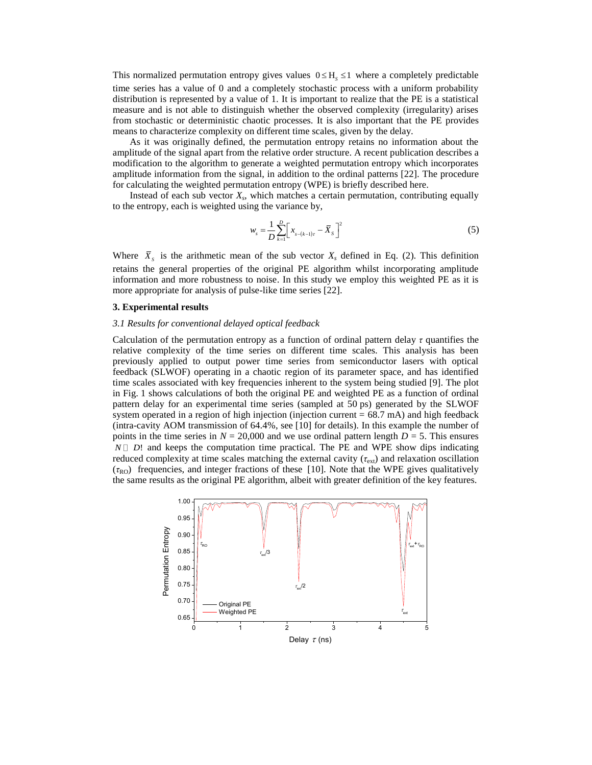This normalized permutation entropy gives values  $0 \leq H_s \leq 1$  where a completely predictable time series has a value of 0 and a completely stochastic process with a uniform probability distribution is represented by a value of 1. It is important to realize that the PE is a statistical measure and is not able to distinguish whether the observed complexity (irregularity) arises from stochastic or deterministic chaotic processes. It is also important that the PE provides means to characterize complexity on different time scales, given by the delay.

As it was originally defined, the permutation entropy retains no information about the amplitude of the signal apart from the relative order structure. A recent publication describes a modification to the algorithm to generate a weighted permutation entropy which incorporates amplitude information from the signal, in addition to the ordinal patterns [\[22\]](#page-14-5). The procedure for calculating the weighted permutation entropy (WPE) is briefly described here.

Instead of each sub vector *X<sup>s</sup>* , which matches a certain permutation, contributing equally to the entropy, each is weighted using the variance by,

$$
w_s = \frac{1}{D} \sum_{k=1}^{D} \left[ x_{s-(k-1)\tau} - \bar{X}_s \right]^2
$$
 (5)

Where  $\bar{X}_s$  is the arithmetic mean of the sub vector  $X_s$  defined in Eq. (2). This definition retains the general properties of the original PE algorithm whilst incorporating amplitude information and more robustness to noise. In this study we employ this weighted PE as it is more appropriate for analysis of pulse-like time series [\[22\]](#page-14-5).

# **3. Experimental results**

# *3.1 Results for conventional delayed optical feedback*

Calculation of the permutation entropy as a function of ordinal pattern delay *τ* quantifies the relative complexity of the time series on different time scales. This analysis has been previously applied to output power time series from semiconductor lasers with optical feedback (SLWOF) operating in a chaotic region of its parameter space, and has identified time scales associated with key frequencies inherent to the system being studied [\[9\]](#page-13-12). The plot in Fig. 1 shows calculations of both the original PE and weighted PE as a function of ordinal pattern delay for an experimental time series (sampled at 50 ps) generated by the SLWOF system operated in a region of high injection (injection current  $= 68.7$  mA) and high feedback (intra-cavity AOM transmission of 64.4%, see [\[10\]](#page-13-13) for details). In this example the number of points in the time series in  $N = 20,000$  and we use ordinal pattern length  $D = 5$ . This ensures  $N \Box$  *D*! and keeps the computation time practical. The PE and WPE show dips indicating reduced complexity at time scales matching the external cavity (*τ*ext) and relaxation oscillation  $(\tau_{RO})$  frequencies, and integer fractions of these [\[10\]](#page-13-13). Note that the WPE gives qualitatively the same results as the original PE algorithm, albeit with greater definition of the key features.

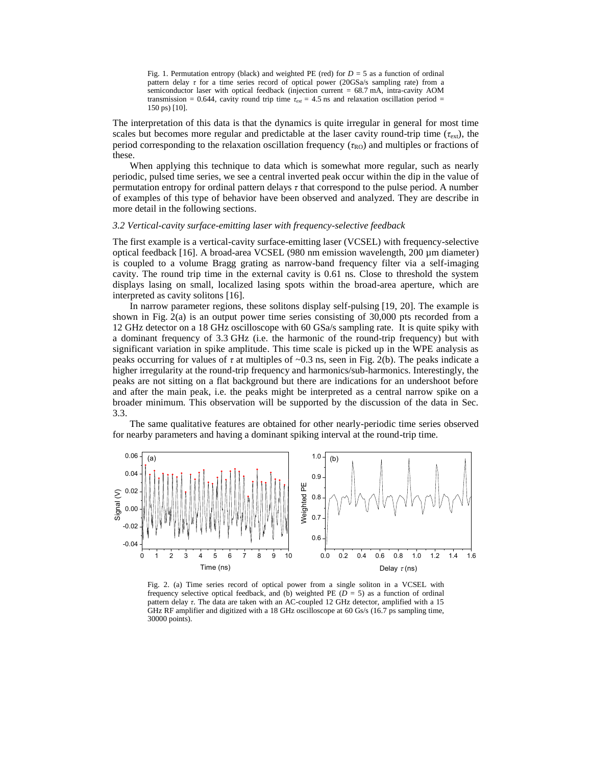Fig. 1. Permutation entropy (black) and weighted PE (red) for  $D = 5$  as a function of ordinal pattern delay *τ* for a time series record of optical power (20GSa/s sampling rate) from a semiconductor laser with optical feedback (injection current = 68.7 mA, intra-cavity AOM transmission = 0.644, cavity round trip time  $\tau_{ext}$  = 4.5 ns and relaxation oscillation period = 150 ps) [\[10\]](#page-13-13).

The interpretation of this data is that the dynamics is quite irregular in general for most time scales but becomes more regular and predictable at the laser cavity round-trip time  $(\tau_{\text{ext}})$ , the period corresponding to the relaxation oscillation frequency ( $\tau_{RO}$ ) and multiples or fractions of these.

When applying this technique to data which is somewhat more regular, such as nearly periodic, pulsed time series, we see a central inverted peak occur within the dip in the value of permutation entropy for ordinal pattern delays *τ* that correspond to the pulse period. A number of examples of this type of behavior have been observed and analyzed. They are describe in more detail in the following sections.

#### *3.2 Vertical-cavity surface-emitting laser with frequency-selective feedback*

The first example is a vertical-cavity surface-emitting laser (VCSEL) with frequency-selective optical feedback [\[16\]](#page-13-11). A broad-area VCSEL (980 nm emission wavelength, 200 µm diameter) is coupled to a volume Bragg grating as narrow-band frequency filter via a self-imaging cavity. The round trip time in the external cavity is 0.61 ns. Close to threshold the system displays lasing on small, localized lasing spots within the broad-area aperture, which are interpreted as cavity solitons [\[16\]](#page-13-11).

In narrow parameter regions, these solitons display self-pulsing [\[19,](#page-14-2) [20\]](#page-14-3). The example is shown in Fig. 2(a) is an output power time series consisting of 30,000 pts recorded from a 12 GHz detector on a 18 GHz oscilloscope with 60 GSa/s sampling rate. It is quite spiky with a dominant frequency of 3.3 GHz (i.e. the harmonic of the round-trip frequency) but with significant variation in spike amplitude. This time scale is picked up in the WPE analysis as peaks occurring for values of  $\tau$  at multiples of  $\sim 0.3$  ns, seen in Fig. 2(b). The peaks indicate a higher irregularity at the round-trip frequency and harmonics/sub-harmonics. Interestingly, the peaks are not sitting on a flat background but there are indications for an undershoot before and after the main peak, i.e. the peaks might be interpreted as a central narrow spike on a broader minimum. This observation will be supported by the discussion of the data in Sec. 3.3.

The same qualitative features are obtained for other nearly-periodic time series observed for nearby parameters and having a dominant spiking interval at the round-trip time.



Fig. 2. (a) Time series record of optical power from a single soliton in a VCSEL with frequency selective optical feedback, and (b) weighted PE ( $D = 5$ ) as a function of ordinal pattern delay *τ*. The data are taken with an AC-coupled 12 GHz detector, amplified with a 15 GHz RF amplifier and digitized with a 18 GHz oscilloscope at 60 Gs/s (16.7 ps sampling time, 30000 points).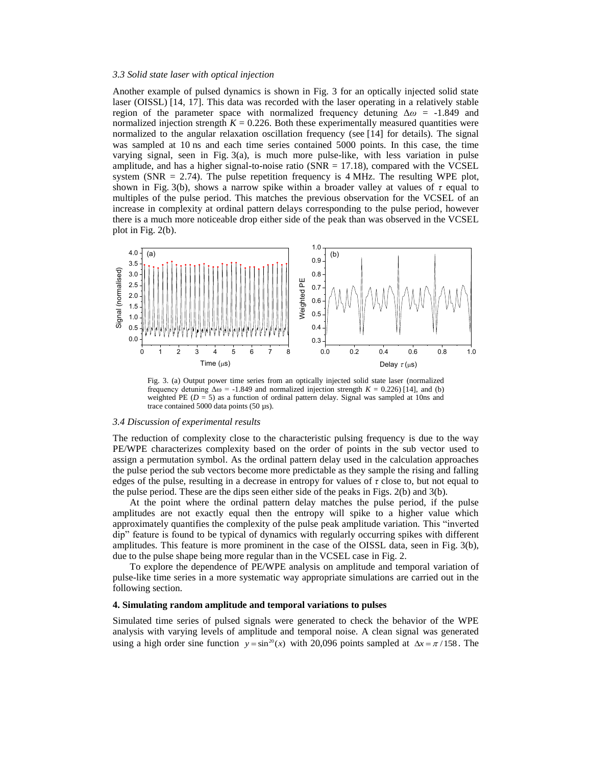## *3.3 Solid state laser with optical injection*

Another example of pulsed dynamics is shown in Fig. 3 for an optically injected solid state laser (OISSL) [\[14,](#page-13-9) [17\]](#page-14-0). This data was recorded with the laser operating in a relatively stable region of the parameter space with normalized frequency detuning Δ*ω* = -1.849 and normalized injection strength  $K = 0.226$ . Both these experimentally measured quantities were normalized to the angular relaxation oscillation frequency (see [\[14\]](#page-13-9) for details). The signal was sampled at 10 ns and each time series contained 5000 points. In this case, the time varying signal, seen in Fig.  $3(a)$ , is much more pulse-like, with less variation in pulse amplitude, and has a higher signal-to-noise ratio ( $SNR = 17.18$ ), compared with the VCSEL system ( $SNR = 2.74$ ). The pulse repetition frequency is 4 MHz. The resulting WPE plot, shown in Fig. 3(b), shows a narrow spike within a broader valley at values of *τ* equal to multiples of the pulse period. This matches the previous observation for the VCSEL of an increase in complexity at ordinal pattern delays corresponding to the pulse period, however there is a much more noticeable drop either side of the peak than was observed in the VCSEL plot in Fig. 2(b).



Fig. 3. (a) Output power time series from an optically injected solid state laser (normalized frequency detuning  $\Delta \omega = -1.849$  and normalized injection strength  $K = 0.226$  [\[14\]](#page-13-9), and (b) weighted PE ( $D = 5$ ) as a function of ordinal pattern delay. Signal was sampled at 10ns and trace contained 5000 data points (50 µs).

#### *3.4 Discussion of experimental results*

The reduction of complexity close to the characteristic pulsing frequency is due to the way PE/WPE characterizes complexity based on the order of points in the sub vector used to assign a permutation symbol. As the ordinal pattern delay used in the calculation approaches the pulse period the sub vectors become more predictable as they sample the rising and falling edges of the pulse, resulting in a decrease in entropy for values of *τ* close to, but not equal to the pulse period. These are the dips seen either side of the peaks in Figs. 2(b) and 3(b).

At the point where the ordinal pattern delay matches the pulse period, if the pulse amplitudes are not exactly equal then the entropy will spike to a higher value which approximately quantifies the complexity of the pulse peak amplitude variation. This "inverted dip" feature is found to be typical of dynamics with regularly occurring spikes with different amplitudes. This feature is more prominent in the case of the OISSL data, seen in Fig. 3(b), due to the pulse shape being more regular than in the VCSEL case in Fig. 2.

To explore the dependence of PE/WPE analysis on amplitude and temporal variation of pulse-like time series in a more systematic way appropriate simulations are carried out in the following section.

# **4. Simulating random amplitude and temporal variations to pulses**

Simulated time series of pulsed signals were generated to check the behavior of the WPE analysis with varying levels of amplitude and temporal noise. A clean signal was generated using a high order sine function  $y = sin^{20}(x)$  with 20,096 points sampled at  $\Delta x = \pi/158$ . The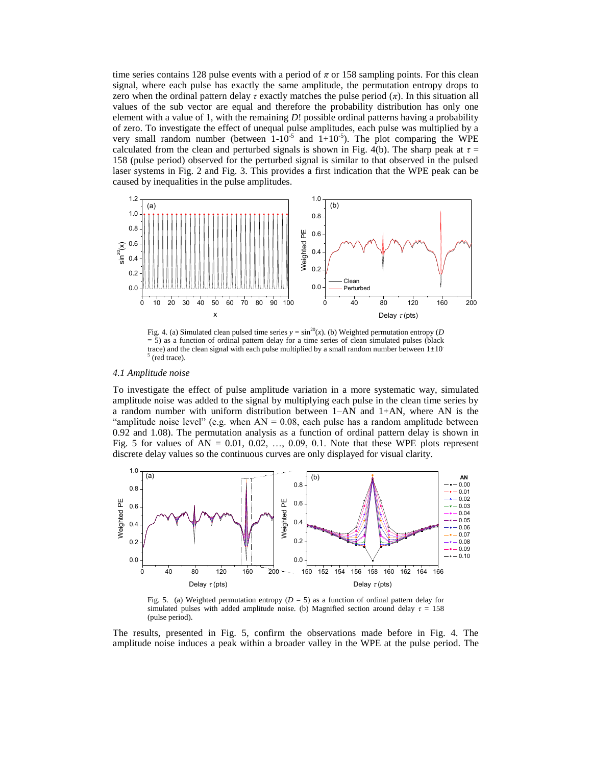time series contains 128 pulse events with a period of  $\pi$  or 158 sampling points. For this clean signal, where each pulse has exactly the same amplitude, the permutation entropy drops to zero when the ordinal pattern delay  $\tau$  exactly matches the pulse period  $(\pi)$ . In this situation all values of the sub vector are equal and therefore the probability distribution has only one element with a value of 1, with the remaining *D*! possible ordinal patterns having a probability of zero. To investigate the effect of unequal pulse amplitudes, each pulse was multiplied by a very small random number (between  $1-10^{-5}$  and  $1+10^{-5}$ ). The plot comparing the WPE calculated from the clean and perturbed signals is shown in Fig. 4(b). The sharp peak at  $\tau =$ 158 (pulse period) observed for the perturbed signal is similar to that observed in the pulsed laser systems in Fig. 2 and Fig. 3. This provides a first indication that the WPE peak can be caused by inequalities in the pulse amplitudes.



Fig. 4. (a) Simulated clean pulsed time series  $y = \sin^{20}(x)$ . (b) Weighted permutation entropy (*D*) = 5) as a function of ordinal pattern delay for a time series of clean simulated pulses (black trace) and the clean signal with each pulse multiplied by a small random number between  $1\pm10$ <sup>-</sup> 5 (red trace).

# *4.1 Amplitude noise*

To investigate the effect of pulse amplitude variation in a more systematic way, simulated amplitude noise was added to the signal by multiplying each pulse in the clean time series by a random number with uniform distribution between  $1-A\overline{N}$  and  $1+AN$ , where AN is the "amplitude noise level" (e.g. when  $AN = 0.08$ , each pulse has a random amplitude between 0.92 and 1.08). The permutation analysis as a function of ordinal pattern delay is shown in Fig. 5 for values of AN =  $0.01$ ,  $0.02$ , ...,  $0.09$ ,  $0.1$ . Note that these WPE plots represent discrete delay values so the continuous curves are only displayed for visual clarity.



Fig. 5. (a) Weighted permutation entropy  $(D = 5)$  as a function of ordinal pattern delay for simulated pulses with added amplitude noise. (b) Magnified section around delay *τ* = 158 (pulse period).

The results, presented in Fig. 5, confirm the observations made before in Fig. 4. The amplitude noise induces a peak within a broader valley in the WPE at the pulse period. The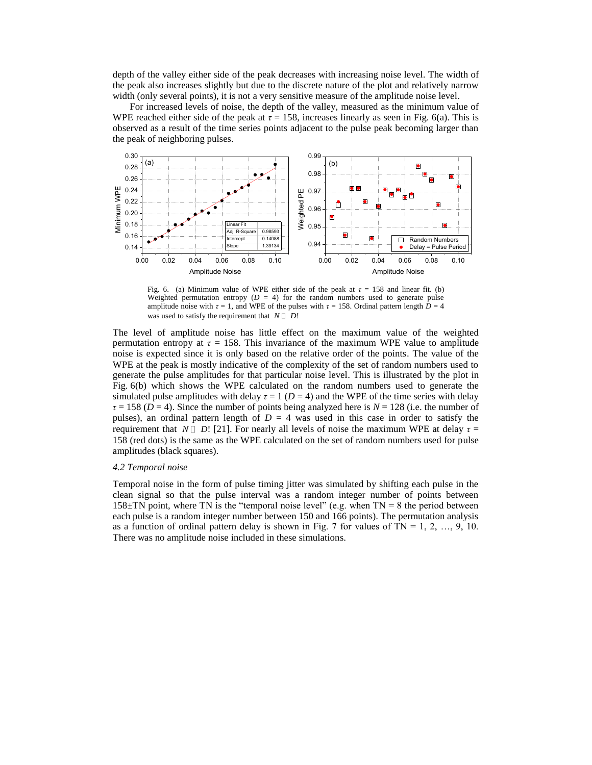depth of the valley either side of the peak decreases with increasing noise level. The width of the peak also increases slightly but due to the discrete nature of the plot and relatively narrow width (only several points), it is not a very sensitive measure of the amplitude noise level.

For increased levels of noise, the depth of the valley, measured as the minimum value of WPE reached either side of the peak at  $\tau = 158$ , increases linearly as seen in Fig. 6(a). This is observed as a result of the time series points adjacent to the pulse peak becoming larger than the peak of neighboring pulses.



Fig. 6. (a) Minimum value of WPE either side of the peak at  $\tau = 158$  and linear fit. (b) Weighted permutation entropy  $(D = 4)$  for the random numbers used to generate pulse amplitude noise with  $\tau = 1$ , and WPE of the pulses with  $\tau = 158$ . Ordinal pattern length  $D = 4$ was used to satisfy the requirement that  $N \Box D!$ 

The level of amplitude noise has little effect on the maximum value of the weighted permutation entropy at  $\tau = 158$ . This invariance of the maximum WPE value to amplitude noise is expected since it is only based on the relative order of the points. The value of the WPE at the peak is mostly indicative of the complexity of the set of random numbers used to generate the pulse amplitudes for that particular noise level. This is illustrated by the plot in Fig. 6(b) which shows the WPE calculated on the random numbers used to generate the simulated pulse amplitudes with delay  $\tau = 1$  ( $D = 4$ ) and the WPE of the time series with delay *τ* = 158 (*D* = 4). Since the number of points being analyzed here is *N* = 128 (i.e. the number of pulses), an ordinal pattern length of  $D = 4$  was used in this case in order to satisfy the requirement that  $N \Box D$ ! [\[21\]](#page-14-4). For nearly all levels of noise the maximum WPE at delay  $\tau =$ 158 (red dots) is the same as the WPE calculated on the set of random numbers used for pulse amplitudes (black squares).

#### *4.2 Temporal noise*

Temporal noise in the form of pulse timing jitter was simulated by shifting each pulse in the clean signal so that the pulse interval was a random integer number of points between  $158\pm TN$  point, where TN is the "temporal noise level" (e.g. when TN = 8 the period between each pulse is a random integer number between 150 and 166 points). The permutation analysis as a function of ordinal pattern delay is shown in Fig. 7 for values of TN = 1, 2, ..., 9, 10. There was no amplitude noise included in these simulations.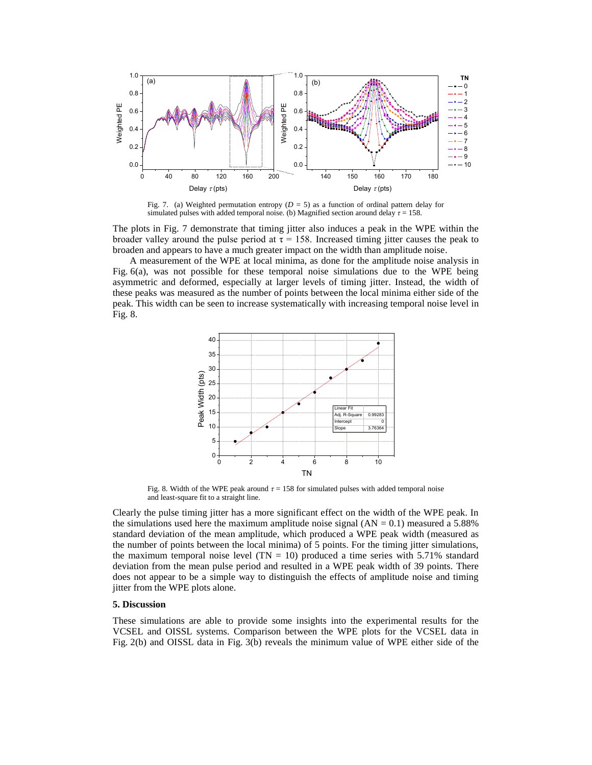

Fig. 7. (a) Weighted permutation entropy  $(D = 5)$  as a function of ordinal pattern delay for simulated pulses with added temporal noise. (b) Magnified section around delay  $\tau = 158$ .

The plots in Fig. 7 demonstrate that timing jitter also induces a peak in the WPE within the broader valley around the pulse period at  $\tau = 158$ . Increased timing jitter causes the peak to broaden and appears to have a much greater impact on the width than amplitude noise.

A measurement of the WPE at local minima, as done for the amplitude noise analysis in Fig. 6(a), was not possible for these temporal noise simulations due to the WPE being asymmetric and deformed, especially at larger levels of timing jitter. Instead, the width of these peaks was measured as the number of points between the local minima either side of the peak. This width can be seen to increase systematically with increasing temporal noise level in Fig. 8.



Fig. 8. Width of the WPE peak around  $\tau = 158$  for simulated pulses with added temporal noise and least-square fit to a straight line.

Clearly the pulse timing jitter has a more significant effect on the width of the WPE peak. In the simulations used here the maximum amplitude noise signal  $(AN = 0.1)$  measured a 5.88% standard deviation of the mean amplitude, which produced a WPE peak width (measured as the number of points between the local minima) of 5 points. For the timing jitter simulations, the maximum temporal noise level  $(TN = 10)$  produced a time series with 5.71% standard deviation from the mean pulse period and resulted in a WPE peak width of 39 points. There does not appear to be a simple way to distinguish the effects of amplitude noise and timing jitter from the WPE plots alone.

# **5. Discussion**

These simulations are able to provide some insights into the experimental results for the VCSEL and OISSL systems. Comparison between the WPE plots for the VCSEL data in Fig. 2(b) and OISSL data in Fig. 3(b) reveals the minimum value of WPE either side of the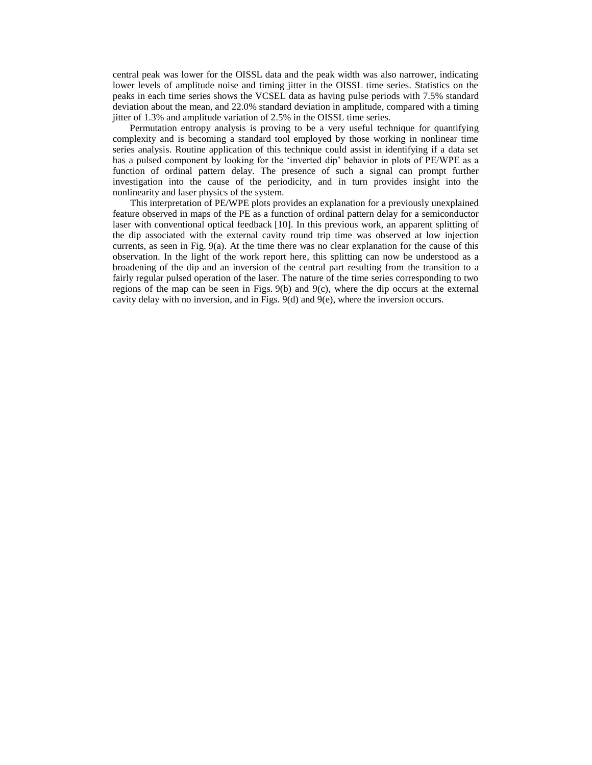central peak was lower for the OISSL data and the peak width was also narrower, indicating lower levels of amplitude noise and timing jitter in the OISSL time series. Statistics on the peaks in each time series shows the VCSEL data as having pulse periods with 7.5% standard deviation about the mean, and 22.0% standard deviation in amplitude, compared with a timing jitter of 1.3% and amplitude variation of 2.5% in the OISSL time series.

Permutation entropy analysis is proving to be a very useful technique for quantifying complexity and is becoming a standard tool employed by those working in nonlinear time series analysis. Routine application of this technique could assist in identifying if a data set has a pulsed component by looking for the 'inverted dip' behavior in plots of PE/WPE as a function of ordinal pattern delay. The presence of such a signal can prompt further investigation into the cause of the periodicity, and in turn provides insight into the nonlinearity and laser physics of the system.

This interpretation of PE/WPE plots provides an explanation for a previously unexplained feature observed in maps of the PE as a function of ordinal pattern delay for a semiconductor laser with conventional optical feedback [\[10\]](#page-13-13). In this previous work, an apparent splitting of the dip associated with the external cavity round trip time was observed at low injection currents, as seen in Fig. 9(a). At the time there was no clear explanation for the cause of this observation. In the light of the work report here, this splitting can now be understood as a broadening of the dip and an inversion of the central part resulting from the transition to a fairly regular pulsed operation of the laser. The nature of the time series corresponding to two regions of the map can be seen in Figs.  $9(b)$  and  $9(c)$ , where the dip occurs at the external cavity delay with no inversion, and in Figs. 9(d) and 9(e), where the inversion occurs.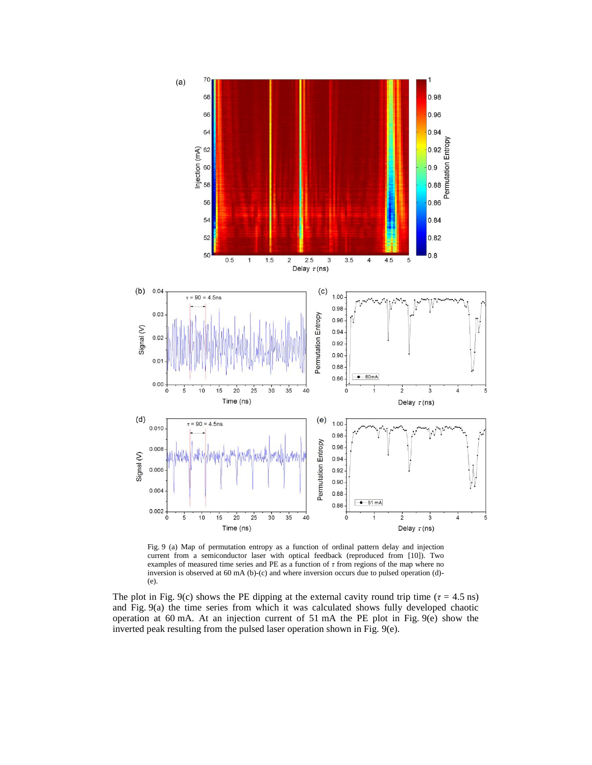

Fig. 9 (a) Map of permutation entropy as a function of ordinal pattern delay and injection current from a semiconductor laser with optical feedback (reproduced from [\[10\]](#page-13-13)). Two examples of measured time series and PE as a function of *τ* from regions of the map where no inversion is observed at 60 mA (b)-(c) and where inversion occurs due to pulsed operation (d)- (e).

The plot in Fig. 9(c) shows the PE dipping at the external cavity round trip time ( $\tau = 4.5$  ns) and Fig. 9(a) the time series from which it was calculated shows fully developed chaotic operation at 60 mA. At an injection current of 51 mA the PE plot in Fig. 9(e) show the inverted peak resulting from the pulsed laser operation shown in Fig. 9(e).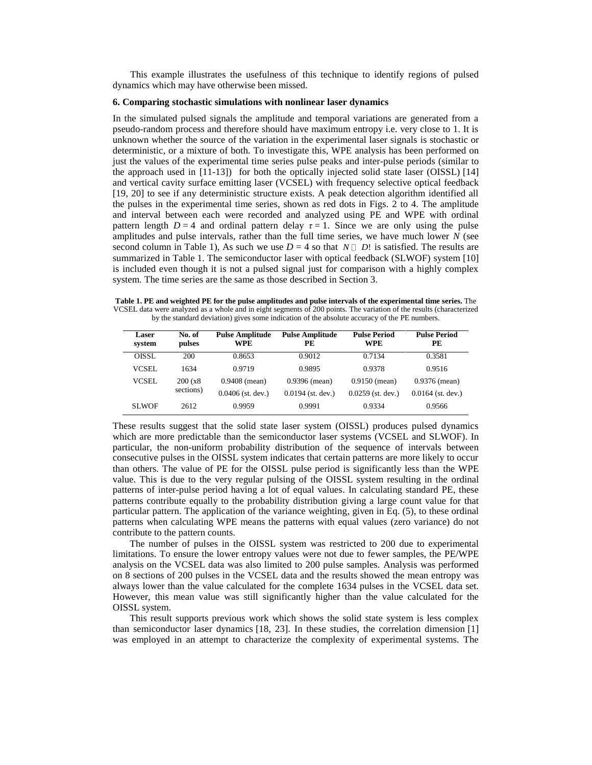This example illustrates the usefulness of this technique to identify regions of pulsed dynamics which may have otherwise been missed.

## **6. Comparing stochastic simulations with nonlinear laser dynamics**

In the simulated pulsed signals the amplitude and temporal variations are generated from a pseudo-random process and therefore should have maximum entropy i.e. very close to 1. It is unknown whether the source of the variation in the experimental laser signals is stochastic or deterministic, or a mixture of both. To investigate this, WPE analysis has been performed on just the values of the experimental time series pulse peaks and inter-pulse periods (similar to the approach used in  $[11-13]$ ) for both the optically injected solid state laser (OISSL)  $[14]$ and vertical cavity surface emitting laser (VCSEL) with frequency selective optical feedback [\[19,](#page-14-2) [20\]](#page-14-3) to see if any deterministic structure exists. A peak detection algorithm identified all the pulses in the experimental time series, shown as red dots in Figs. 2 to 4. The amplitude and interval between each were recorded and analyzed using PE and WPE with ordinal pattern length  $D = 4$  and ordinal pattern delay  $\tau = 1$ . Since we are only using the pulse amplitudes and pulse intervals, rather than the full time series, we have much lower  $N$  (see second column in Table 1), As such we use  $D = 4$  so that  $N \square D!$  is satisfied. The results are summarized in Table 1. The semiconductor laser with optical feedback (SLWOF) system [\[10\]](#page-13-13) is included even though it is not a pulsed signal just for comparison with a highly complex system. The time series are the same as those described in Section 3.

**Table 1. PE and weighted PE for the pulse amplitudes and pulse intervals of the experimental time series.** The VCSEL data were analyzed as a whole and in eight segments of 200 points. The variation of the results (characterized by the standard deviation) gives some indication of the absolute accuracy of the PE numbers.

| <b>Laser</b><br>system | No. of<br>pulses | <b>Pulse Amplitude</b><br><b>WPE</b> | <b>Pulse Amplitude</b><br>PЕ | <b>Pulse Period</b><br><b>WPE</b> | <b>Pulse Period</b><br>PE |
|------------------------|------------------|--------------------------------------|------------------------------|-----------------------------------|---------------------------|
| <b>OISSL</b>           | 200              | 0.8653                               | 0.9012                       | 0.7134                            | 0.3581                    |
| <b>VCSEL</b>           | 1634             | 0.9719                               | 0.9895                       | 0.9378                            | 0.9516                    |
| VCSEL.                 | 200(x8)          | $0.9408$ (mean)                      | $0.9396$ (mean)              | $0.9150$ (mean)                   | $0.9376$ (mean)           |
|                        | sections)        | $0.0406$ (st. dev.)                  | $0.0194$ (st. dev.)          | $0.0259$ (st. dev.)               | $0.0164$ (st. dev.)       |
| <b>SLWOF</b>           | 2612             | 0.9959                               | 0.9991                       | 0.9334                            | 0.9566                    |

These results suggest that the solid state laser system (OISSL) produces pulsed dynamics which are more predictable than the semiconductor laser systems (VCSEL and SLWOF). In particular, the non-uniform probability distribution of the sequence of intervals between consecutive pulses in the OISSL system indicates that certain patterns are more likely to occur than others. The value of PE for the OISSL pulse period is significantly less than the WPE value. This is due to the very regular pulsing of the OISSL system resulting in the ordinal patterns of inter-pulse period having a lot of equal values. In calculating standard PE, these patterns contribute equally to the probability distribution giving a large count value for that particular pattern. The application of the variance weighting, given in Eq. (5), to these ordinal patterns when calculating WPE means the patterns with equal values (zero variance) do not contribute to the pattern counts.

The number of pulses in the OISSL system was restricted to 200 due to experimental limitations. To ensure the lower entropy values were not due to fewer samples, the PE/WPE analysis on the VCSEL data was also limited to 200 pulse samples. Analysis was performed on 8 sections of 200 pulses in the VCSEL data and the results showed the mean entropy was always lower than the value calculated for the complete 1634 pulses in the VCSEL data set. However, this mean value was still significantly higher than the value calculated for the OISSL system.

This result supports previous work which shows the solid state system is less complex than semiconductor laser dynamics [\[18,](#page-14-1) [23\]](#page-14-6). In these studies, the correlation dimension [\[1\]](#page-13-0) was employed in an attempt to characterize the complexity of experimental systems. The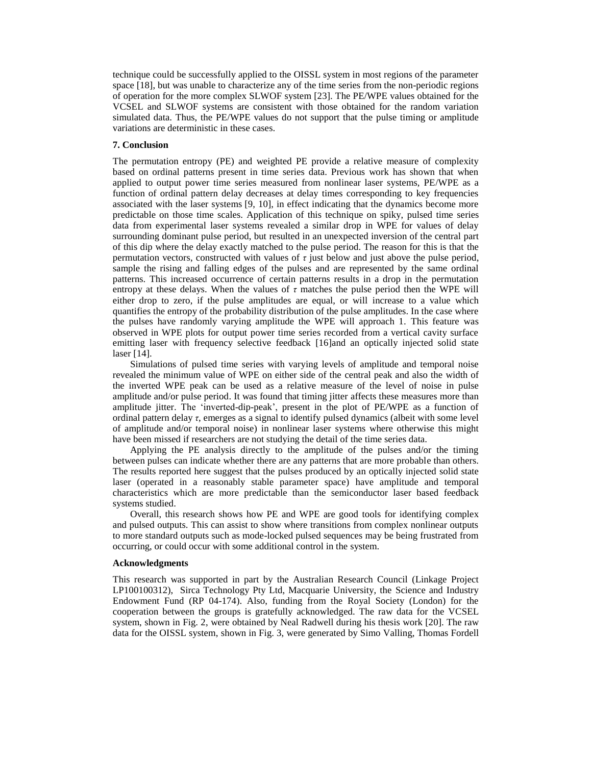technique could be successfully applied to the OISSL system in most regions of the parameter space [\[18\]](#page-14-1), but was unable to characterize any of the time series from the non-periodic regions of operation for the more complex SLWOF system [\[23\]](#page-14-6). The PE/WPE values obtained for the VCSEL and SLWOF systems are consistent with those obtained for the random variation simulated data. Thus, the PE/WPE values do not support that the pulse timing or amplitude variations are deterministic in these cases.

# **7. Conclusion**

The permutation entropy (PE) and weighted PE provide a relative measure of complexity based on ordinal patterns present in time series data. Previous work has shown that when applied to output power time series measured from nonlinear laser systems, PE/WPE as a function of ordinal pattern delay decreases at delay times corresponding to key frequencies associated with the laser systems [\[9,](#page-13-12) [10\]](#page-13-13), in effect indicating that the dynamics become more predictable on those time scales. Application of this technique on spiky, pulsed time series data from experimental laser systems revealed a similar drop in WPE for values of delay surrounding dominant pulse period, but resulted in an unexpected inversion of the central part of this dip where the delay exactly matched to the pulse period. The reason for this is that the permutation vectors, constructed with values of  $\tau$  just below and just above the pulse period, sample the rising and falling edges of the pulses and are represented by the same ordinal patterns. This increased occurrence of certain patterns results in a drop in the permutation entropy at these delays. When the values of *τ* matches the pulse period then the WPE will either drop to zero, if the pulse amplitudes are equal, or will increase to a value which quantifies the entropy of the probability distribution of the pulse amplitudes. In the case where the pulses have randomly varying amplitude the WPE will approach 1. This feature was observed in WPE plots for output power time series recorded from a vertical cavity surface emitting laser with frequency selective feedback [\[16\]](#page-13-11)and an optically injected solid state laser [\[14\]](#page-13-9).

Simulations of pulsed time series with varying levels of amplitude and temporal noise revealed the minimum value of WPE on either side of the central peak and also the width of the inverted WPE peak can be used as a relative measure of the level of noise in pulse amplitude and/or pulse period. It was found that timing jitter affects these measures more than amplitude jitter. The 'inverted-dip-peak', present in the plot of PE/WPE as a function of ordinal pattern delay *τ*, emerges as a signal to identify pulsed dynamics (albeit with some level of amplitude and/or temporal noise) in nonlinear laser systems where otherwise this might have been missed if researchers are not studying the detail of the time series data.

Applying the PE analysis directly to the amplitude of the pulses and/or the timing between pulses can indicate whether there are any patterns that are more probable than others. The results reported here suggest that the pulses produced by an optically injected solid state laser (operated in a reasonably stable parameter space) have amplitude and temporal characteristics which are more predictable than the semiconductor laser based feedback systems studied.

Overall, this research shows how PE and WPE are good tools for identifying complex and pulsed outputs. This can assist to show where transitions from complex nonlinear outputs to more standard outputs such as mode-locked pulsed sequences may be being frustrated from occurring, or could occur with some additional control in the system.

# **Acknowledgments**

This research was supported in part by the Australian Research Council (Linkage Project LP100100312), Sirca Technology Pty Ltd, Macquarie University, the Science and Industry Endowment Fund (RP 04-174). Also, funding from the Royal Society (London) for the cooperation between the groups is gratefully acknowledged. The raw data for the VCSEL system, shown in Fig. 2, were obtained by Neal Radwell during his thesis work [\[20\]](#page-14-3). The raw data for the OISSL system, shown in Fig. 3, were generated by Simo Valling, Thomas Fordell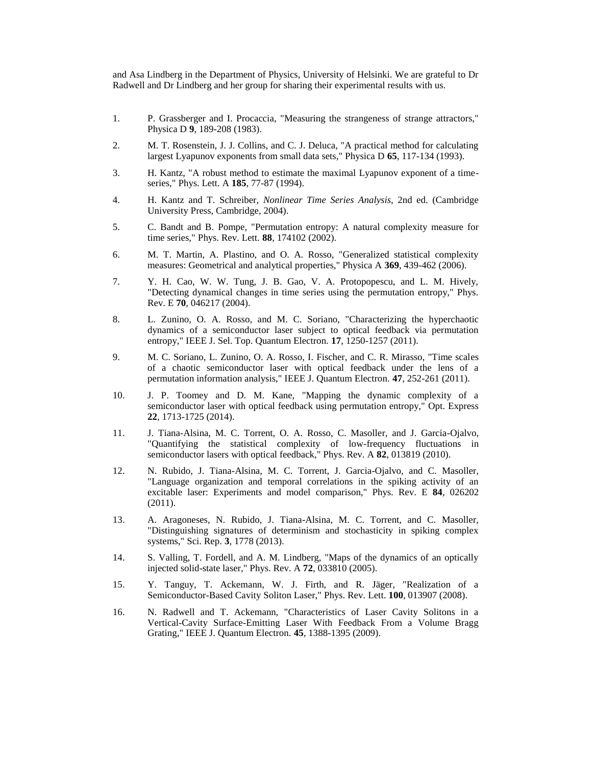and Asa Lindberg in the Department of Physics, University of Helsinki. We are grateful to Dr Radwell and Dr Lindberg and her group for sharing their experimental results with us.

- <span id="page-13-0"></span>1. P. Grassberger and I. Procaccia, "Measuring the strangeness of strange attractors," Physica D **9**, 189-208 (1983).
- <span id="page-13-1"></span>2. M. T. Rosenstein, J. J. Collins, and C. J. Deluca, "A practical method for calculating largest Lyapunov exponents from small data sets," Physica D **65**, 117-134 (1993).
- <span id="page-13-2"></span>3. H. Kantz, "A robust method to estimate the maximal Lyapunov exponent of a timeseries," Phys. Lett. A **185**, 77-87 (1994).
- <span id="page-13-3"></span>4. H. Kantz and T. Schreiber, *Nonlinear Time Series Analysis,* 2nd ed. (Cambridge University Press, Cambridge, 2004).
- <span id="page-13-4"></span>5. C. Bandt and B. Pompe, "Permutation entropy: A natural complexity measure for time series," Phys. Rev. Lett. **88**, 174102 (2002).
- <span id="page-13-5"></span>6. M. T. Martin, A. Plastino, and O. A. Rosso, "Generalized statistical complexity measures: Geometrical and analytical properties," Physica A **369**, 439-462 (2006).
- <span id="page-13-6"></span>7. Y. H. Cao, W. W. Tung, J. B. Gao, V. A. Protopopescu, and L. M. Hively, "Detecting dynamical changes in time series using the permutation entropy," Phys. Rev. E **70**, 046217 (2004).
- <span id="page-13-7"></span>8. L. Zunino, O. A. Rosso, and M. C. Soriano, "Characterizing the hyperchaotic dynamics of a semiconductor laser subject to optical feedback via permutation entropy," IEEE J. Sel. Top. Quantum Electron. **17**, 1250-1257 (2011).
- <span id="page-13-12"></span>9. M. C. Soriano, L. Zunino, O. A. Rosso, I. Fischer, and C. R. Mirasso, "Time scales of a chaotic semiconductor laser with optical feedback under the lens of a permutation information analysis," IEEE J. Quantum Electron. **47**, 252-261 (2011).
- <span id="page-13-13"></span>10. J. P. Toomey and D. M. Kane, "Mapping the dynamic complexity of a semiconductor laser with optical feedback using permutation entropy," Opt. Express **22**, 1713-1725 (2014).
- <span id="page-13-8"></span>11. J. Tiana-Alsina, M. C. Torrent, O. A. Rosso, C. Masoller, and J. Garcia-Ojalvo, "Quantifying the statistical complexity of low-frequency fluctuations in semiconductor lasers with optical feedback," Phys. Rev. A **82**, 013819 (2010).
- 12. N. Rubido, J. Tiana-Alsina, M. C. Torrent, J. Garcia-Ojalvo, and C. Masoller, "Language organization and temporal correlations in the spiking activity of an excitable laser: Experiments and model comparison," Phys. Rev. E **84**, 026202 (2011).
- 13. A. Aragoneses, N. Rubido, J. Tiana-Alsina, M. C. Torrent, and C. Masoller, "Distinguishing signatures of determinism and stochasticity in spiking complex systems," Sci. Rep. **3**, 1778 (2013).
- <span id="page-13-9"></span>14. S. Valling, T. Fordell, and A. M. Lindberg, "Maps of the dynamics of an optically injected solid-state laser," Phys. Rev. A **72**, 033810 (2005).
- <span id="page-13-10"></span>15. Y. Tanguy, T. Ackemann, W. J. Firth, and R. Jäger, "Realization of a Semiconductor-Based Cavity Soliton Laser," Phys. Rev. Lett. **100**, 013907 (2008).
- <span id="page-13-11"></span>16. N. Radwell and T. Ackemann, "Characteristics of Laser Cavity Solitons in a Vertical-Cavity Surface-Emitting Laser With Feedback From a Volume Bragg Grating," IEEE J. Quantum Electron. **45**, 1388-1395 (2009).